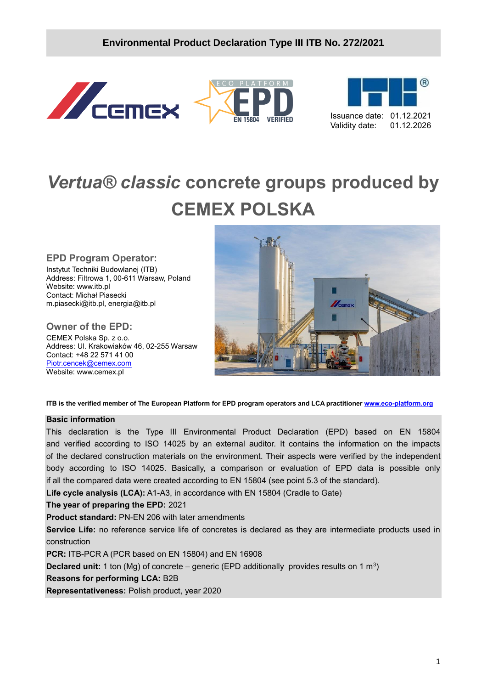**/2020**

**EN 15804** 

**PIATEORM** 

**VERIFIED** 





# *Vertua® classic* **concrete groups produced by CEMEX POLSKA**

#### **EPD Program Operator:**

Instytut Techniki Budowlanej (ITB) Address: Filtrowa 1, 00-611 Warsaw, Poland Website: www.itb.pl Contact: Michał Piasecki m.piasecki@itb.pl, energia@itb.pl

## **Owner of the EPD:**

CEMEX Polska Sp. z o.o. Address: Ul. Krakowiaków 46, 02-255 Warsaw Contact: +48 22 571 41 00 [Piotr.cencek@cemex.com](mailto:Piotr.cencek@cemex.com) Website: www.cemex.pl



**ITB is the verified member of The European Platform for EPD program operators and LCA practitioner [www.eco-platform.org](http://www.eco-platform.org/)**

#### **Basic information**

This declaration is the Type III Environmental Product Declaration (EPD) based on EN 15804 and verified according to ISO 14025 by an external auditor. It contains the information on the impacts of the declared construction materials on the environment. Their aspects were verified by the independent body according to ISO 14025. Basically, a comparison or evaluation of EPD data is possible only if all the compared data were created according to EN 15804 (see point 5.3 of the standard).

**Life cycle analysis (LCA):** A1-A3, in accordance with EN 15804 (Cradle to Gate)

**The year of preparing the EPD:** 2021

**Product standard:** PN-EN 206 with later amendments

**Service Life:** no reference service life of concretes is declared as they are intermediate products used in construction

**PCR:** ITB-PCR A (PCR based on EN 15804) and EN 16908

**Declared unit:** 1 ton (Mg) of concrete – generic (EPD additionally provides results on 1 m<sup>3</sup>)

**Reasons for performing LCA:** B2B

**Representativeness:** Polish product, year 2020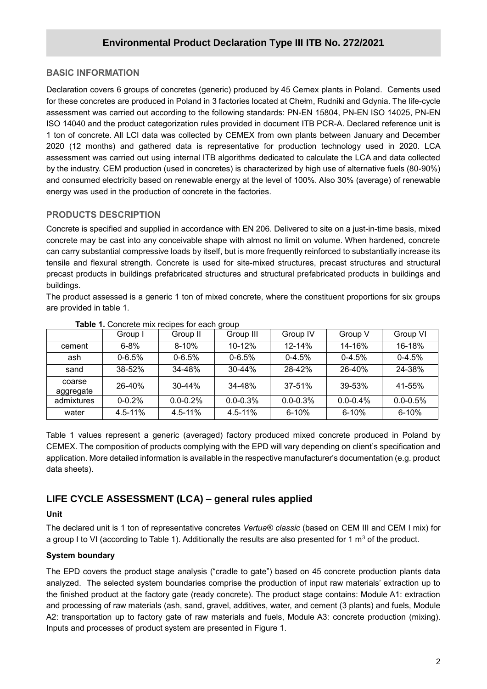### **BASIC INFORMATION**

**/2020** for these concretes are produced in Poland in 3 factories located at Chełm, Rudniki and Gdynia. The life-cycle Declaration covers 6 groups of concretes (generic) produced by 45 Cemex plants in Poland. Cements used assessment was carried out according to the following standards: PN-EN 15804, PN-EN ISO 14025, PN-EN ISO 14040 and the product categorization rules provided in document ITB PCR-A. Declared reference unit is 1 ton of concrete. All LCI data was collected by CEMEX from own plants between January and December 2020 (12 months) and gathered data is representative for production technology used in 2020. LCA assessment was carried out using internal ITB algorithms dedicated to calculate the LCA and data collected by the industry. CEM production (used in concretes) is characterized by high use of alternative fuels (80-90%) and consumed electricity based on renewable energy at the level of 100%. Also 30% (average) of renewable energy was used in the production of concrete in the factories.

## **PRODUCTS DESCRIPTION**

Concrete is specified and supplied in accordance with EN 206. Delivered to site on a just-in-time basis, mixed concrete may be cast into any conceivable shape with almost no limit on volume. When hardened, concrete can carry substantial compressive loads by itself, but is more frequently reinforced to substantially increase its tensile and flexural strength. Concrete is used for site-mixed structures, precast structures and structural precast products in buildings prefabricated structures and structural prefabricated products in buildings and buildings.

The product assessed is a generic 1 ton of mixed concrete, where the constituent proportions for six groups are provided in table 1.

|                     | Group I     | Group II     | ັ<br>Group III | Group IV     | Group V       | Group VI      |
|---------------------|-------------|--------------|----------------|--------------|---------------|---------------|
| cement              | $6 - 8%$    | $8 - 10%$    | 10-12%         | $12 - 14%$   | 14-16%        | 16-18%        |
| ash                 | $0 - 6.5%$  | $0 - 6.5%$   | $0 - 6.5%$     | $0-4.5%$     | $0-4.5%$      | $0 - 4.5%$    |
| sand                | 38-52%      | 34-48%       | $30 - 44%$     | 28-42%       | 26-40%        | 24-38%        |
| coarse<br>aggregate | $26 - 40%$  | $30 - 44%$   | 34-48%         | 37-51%       | 39-53%        | 41-55%        |
| admixtures          | $0 - 0.2%$  | $0.0 - 0.2%$ | $0.0 - 0.3\%$  | $0.0 - 0.3%$ | $0.0 - 0.4\%$ | $0.0 - 0.5\%$ |
| water               | $4.5 - 11%$ | $4.5 - 11%$  | 4.5-11%        | $6 - 10%$    | $6 - 10%$     | $6 - 10%$     |

**Table 1.** Concrete mix recipes for each group

Table 1 values represent a generic (averaged) factory produced mixed concrete produced in Poland by CEMEX. The composition of products complying with the EPD will vary depending on client's specification and application. More detailed information is available in the respective manufacturer's documentation (e.g. product data sheets).

## **LIFE CYCLE ASSESSMENT (LCA) – general rules applied**

#### **Unit**

The declared unit is 1 ton of representative concretes *Vertua® classic* (based on CEM III and CEM I mix) for a group I to VI (according to Table 1). Additionally the results are also presented for 1  $m<sup>3</sup>$  of the product.

#### **System boundary**

The EPD covers the product stage analysis ("cradle to gate") based on 45 concrete production plants data analyzed. The selected system boundaries comprise the production of input raw materials' extraction up to the finished product at the factory gate (ready concrete). The product stage contains: Module A1: extraction and processing of raw materials (ash, sand, gravel, additives, water, and cement (3 plants) and fuels, Module A2: transportation up to factory gate of raw materials and fuels, Module A3: concrete production (mixing). Inputs and processes of product system are presented in Figure 1.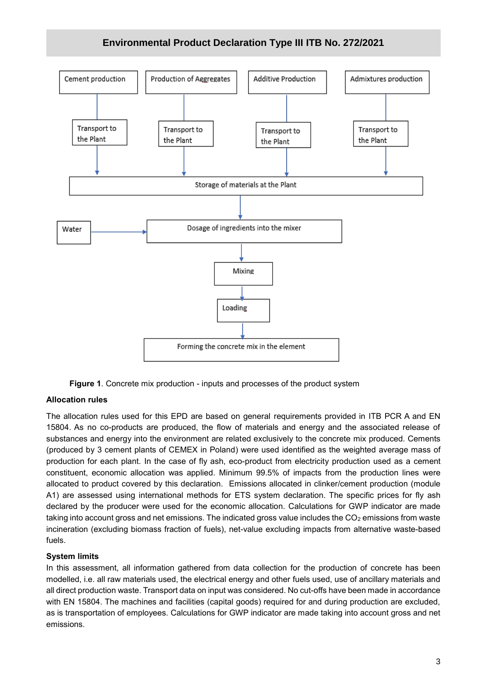

**Figure 1**. Concrete mix production - inputs and processes of the product system

#### **Allocation rules**

The allocation rules used for this EPD are based on general requirements provided in ITB PCR A and EN 15804. As no co-products are produced, the flow of materials and energy and the associated release of substances and energy into the environment are related exclusively to the concrete mix produced. Cements (produced by 3 cement plants of CEMEX in Poland) were used identified as the weighted average mass of production for each plant. In the case of fly ash, eco-product from electricity production used as a cement constituent, economic allocation was applied. Minimum 99.5% of impacts from the production lines were allocated to product covered by this declaration. Emissions allocated in clinker/cement production (module A1) are assessed using international methods for ETS system declaration. The specific prices for fly ash declared by the producer were used for the economic allocation. Calculations for GWP indicator are made taking into account gross and net emissions. The indicated gross value includes the  $CO<sub>2</sub>$  emissions from waste incineration (excluding biomass fraction of fuels), net-value excluding impacts from alternative waste-based fuels.

#### **System limits**

In this assessment, all information gathered from data collection for the production of concrete has been modelled, i.e. all raw materials used, the electrical energy and other fuels used, use of ancillary materials and all direct production waste. Transport data on input was considered. No cut-offs have been made in accordance with EN 15804. The machines and facilities (capital goods) required for and during production are excluded, as is transportation of employees. Calculations for GWP indicator are made taking into account gross and net emissions.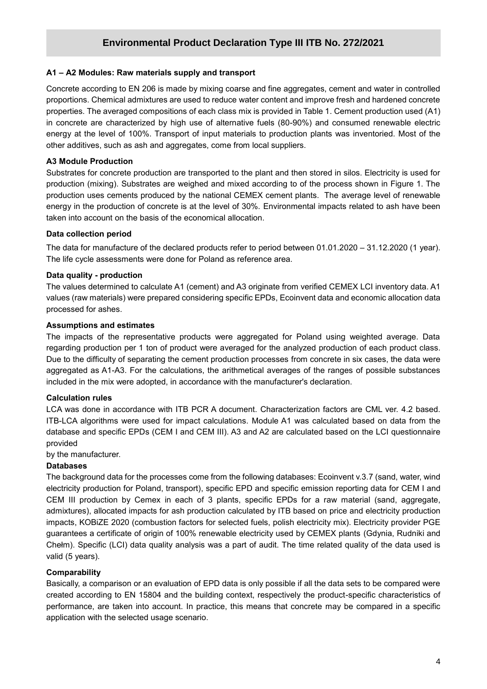#### **A1 – A2 Modules: Raw materials supply and transport**

**/2020** proportions. Chemical admixtures are used to reduce water content and improve fresh and hardened concrete Concrete according to EN 206 is made by mixing coarse and fine aggregates, cement and water in controlled properties. The averaged compositions of each class mix is provided in Table 1. Cement production used (A1) in concrete are characterized by high use of alternative fuels (80-90%) and consumed renewable electric energy at the level of 100%. Transport of input materials to production plants was inventoried. Most of the other additives, such as ash and aggregates, come from local suppliers.

#### **A3 Module Production**

Substrates for concrete production are transported to the plant and then stored in silos. Electricity is used for production (mixing). Substrates are weighed and mixed according to of the process shown in Figure 1. The production uses cements produced by the national CEMEX cement plants. The average level of renewable energy in the production of concrete is at the level of 30%. Environmental impacts related to ash have been taken into account on the basis of the economical allocation.

#### **Data collection period**

The data for manufacture of the declared products refer to period between 01.01.2020 – 31.12.2020 (1 year). The life cycle assessments were done for Poland as reference area.

#### **Data quality - production**

The values determined to calculate A1 (cement) and A3 originate from verified CEMEX LCI inventory data. A1 values (raw materials) were prepared considering specific EPDs, Ecoinvent data and economic allocation data processed for ashes.

#### **Assumptions and estimates**

The impacts of the representative products were aggregated for Poland using weighted average. Data regarding production per 1 ton of product were averaged for the analyzed production of each product class. Due to the difficulty of separating the cement production processes from concrete in six cases, the data were aggregated as A1-A3. For the calculations, the arithmetical averages of the ranges of possible substances included in the mix were adopted, in accordance with the manufacturer's declaration.

#### **Calculation rules**

LCA was done in accordance with ITB PCR A document. Characterization factors are CML ver. 4.2 based. ITB-LCA algorithms were used for impact calculations. Module A1 was calculated based on data from the database and specific EPDs (CEM I and CEM III). A3 and A2 are calculated based on the LCI questionnaire provided

by the manufacturer.

#### **Databases**

The background data for the processes come from the following databases: Ecoinvent v.3.7 (sand, water, wind electricity production for Poland, transport), specific EPD and specific emission reporting data for CEM I and CEM III production by Cemex in each of 3 plants, specific EPDs for a raw material (sand, aggregate, admixtures), allocated impacts for ash production calculated by ITB based on price and electricity production impacts, KOBiZE 2020 (combustion factors for selected fuels, polish electricity mix). Electricity provider PGE guarantees a certificate of origin of 100% renewable electricity used by CEMEX plants (Gdynia, Rudniki and Chełm). Specific (LCI) data quality analysis was a part of audit. The time related quality of the data used is valid (5 years).

#### **Comparability**

Basically, a comparison or an evaluation of EPD data is only possible if all the data sets to be compared were created according to EN 15804 and the building context, respectively the product-specific characteristics of performance, are taken into account. In practice, this means that concrete may be compared in a specific application with the selected usage scenario.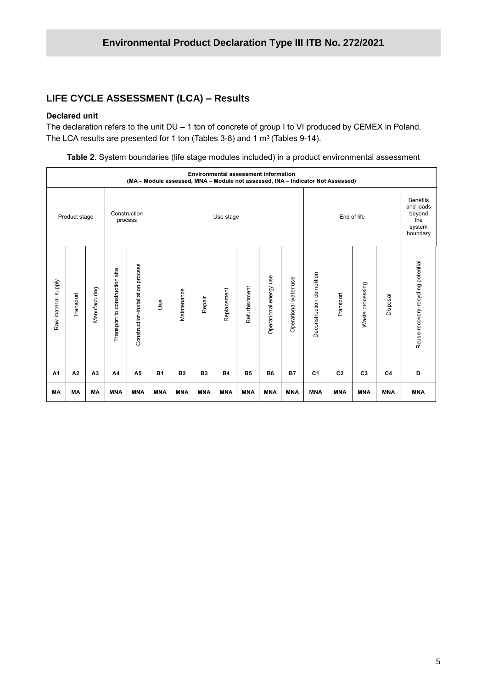## **LIFE CYCLE ASSESSMENT (LCA) - Results**

#### **Declared unit**

The declaration refers to the unit DU – 1 ton of concrete of group I to VI produced by CEMEX in Poland. The LCA results are presented for 1 ton (Tables 3-8) and 1  $m^3$  (Tables 9-14).

|  |  |  |  |  |  |  |  | Table 2. System boundaries (life stage modules included) in a product environmental assessment |  |
|--|--|--|--|--|--|--|--|------------------------------------------------------------------------------------------------|--|
|--|--|--|--|--|--|--|--|------------------------------------------------------------------------------------------------|--|

|                     | <b>Environmental assessment information</b><br>(MA - Module assessed, MNA - Module not assessed, INA - Indicator Not Assessed) |                |                                   |                                   |            |             |                |             |               |                           |                          |                           |                |                                                                     |                |                                    |
|---------------------|--------------------------------------------------------------------------------------------------------------------------------|----------------|-----------------------------------|-----------------------------------|------------|-------------|----------------|-------------|---------------|---------------------------|--------------------------|---------------------------|----------------|---------------------------------------------------------------------|----------------|------------------------------------|
|                     | Product stage                                                                                                                  |                |                                   | Construction<br>process           |            | Use stage   |                |             |               | End of life               |                          |                           |                | <b>Benefits</b><br>and loads<br>beyond<br>the<br>system<br>boundary |                |                                    |
| Raw material supply | Transport                                                                                                                      | Manufacturing  | construction site<br>Transport to | Construction-installation process | Jse        | Maintenance | Repair         | Replacement | Refurbishment | use<br>Operational energy | use<br>Operational water | Deconstruction demolition | Transport      | processing<br>Waste                                                 | Disposal       | Reuse-recovery-recycling potential |
| A <sub>1</sub>      | A <sub>2</sub>                                                                                                                 | A <sub>3</sub> | A4                                | A <sub>5</sub>                    | <b>B1</b>  | <b>B2</b>   | B <sub>3</sub> | <b>B4</b>   | <b>B5</b>     | <b>B6</b>                 | <b>B7</b>                | C <sub>1</sub>            | C <sub>2</sub> | C <sub>3</sub>                                                      | C <sub>4</sub> | D                                  |
| MA                  | MА                                                                                                                             | <b>MA</b>      | <b>MNA</b>                        | <b>MNA</b>                        | <b>MNA</b> | <b>MNA</b>  | <b>MNA</b>     | <b>MNA</b>  | <b>MNA</b>    | <b>MNA</b>                | <b>MNA</b>               | <b>MNA</b>                | <b>MNA</b>     | <b>MNA</b>                                                          | <b>MNA</b>     | <b>MNA</b>                         |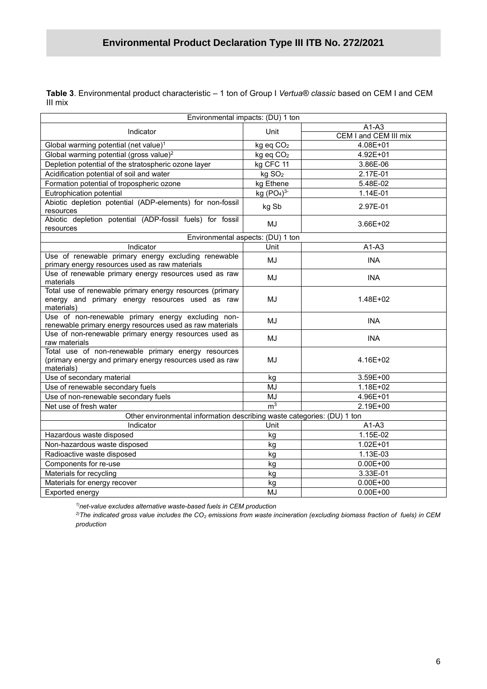**/2020 Table 3**. Environmental product characteristic – 1 ton of Group I *Vertua® classic* based on CEM I and CEM III mix

| Environmental impacts: (DU) 1 ton                                                                                             |                                    |                       |  |  |  |
|-------------------------------------------------------------------------------------------------------------------------------|------------------------------------|-----------------------|--|--|--|
|                                                                                                                               |                                    | $A1-A3$               |  |  |  |
| Indicator                                                                                                                     | Unit                               | CEM I and CEM III mix |  |  |  |
| Global warming potential (net value) <sup>1</sup>                                                                             | kg eq CO <sub>2</sub>              | 4.08E+01              |  |  |  |
| Global warming potential (gross value) <sup>2</sup>                                                                           | kg eq CO <sub>2</sub>              | 4.92E+01              |  |  |  |
| Depletion potential of the stratospheric ozone layer                                                                          | kg CFC 11                          | 3.86E-06              |  |  |  |
| Acidification potential of soil and water                                                                                     | kg SO <sub>2</sub>                 | 2.17E-01              |  |  |  |
| Formation potential of tropospheric ozone                                                                                     | kg Ethene                          | 5.48E-02              |  |  |  |
| Eutrophication potential                                                                                                      | kg (PO <sub>4</sub> ) <sup>3</sup> | $1.14E-01$            |  |  |  |
| Abiotic depletion potential (ADP-elements) for non-fossil<br>resources                                                        | kg Sb                              | 2.97E-01              |  |  |  |
| Abiotic depletion potential (ADP-fossil fuels) for fossil<br>resources                                                        | MJ                                 | 3.66E+02              |  |  |  |
| Environmental aspects: (DU) 1 ton                                                                                             |                                    |                       |  |  |  |
| Indicator                                                                                                                     | Unit                               | $A1-A3$               |  |  |  |
| Use of renewable primary energy excluding renewable<br>primary energy resources used as raw materials                         | MJ                                 | <b>INA</b>            |  |  |  |
| Use of renewable primary energy resources used as raw<br>materials                                                            | MJ                                 | <b>INA</b>            |  |  |  |
| Total use of renewable primary energy resources (primary<br>energy and primary energy resources used as raw<br>materials)     | MJ                                 | 1.48E+02              |  |  |  |
| Use of non-renewable primary energy excluding non-<br>renewable primary energy resources used as raw materials                | MJ                                 | <b>INA</b>            |  |  |  |
| Use of non-renewable primary energy resources used as<br>raw materials                                                        | MJ                                 | <b>INA</b>            |  |  |  |
| Total use of non-renewable primary energy resources<br>(primary energy and primary energy resources used as raw<br>materials) | MJ                                 | 4.16E+02              |  |  |  |
| Use of secondary material                                                                                                     | kg                                 | 3.59E+00              |  |  |  |
| Use of renewable secondary fuels                                                                                              | MJ                                 | 1.18E+02              |  |  |  |
| Use of non-renewable secondary fuels                                                                                          | MJ                                 | 4.96E+01              |  |  |  |
| Net use of fresh water                                                                                                        | m <sup>3</sup>                     | 2.19E+00              |  |  |  |
| Other environmental information describing waste categories: (DU) 1 ton                                                       |                                    |                       |  |  |  |
| Indicator                                                                                                                     | Unit                               | $A1-A3$               |  |  |  |
| Hazardous waste disposed                                                                                                      | kg                                 | 1.15E-02              |  |  |  |
| Non-hazardous waste disposed                                                                                                  | kg                                 | $1.02E + 01$          |  |  |  |
| Radioactive waste disposed                                                                                                    | kg                                 | 1.13E-03              |  |  |  |
| Components for re-use                                                                                                         | kg                                 | $0.00E + 00$          |  |  |  |
| Materials for recycling                                                                                                       | kg                                 | 3.33E-01              |  |  |  |
| Materials for energy recover                                                                                                  | kg                                 | $0.00E + 00$          |  |  |  |
| Exported energy                                                                                                               | MJ                                 | $0.00E + 00$          |  |  |  |

*1)net-value excludes alternative waste-based fuels in CEM production*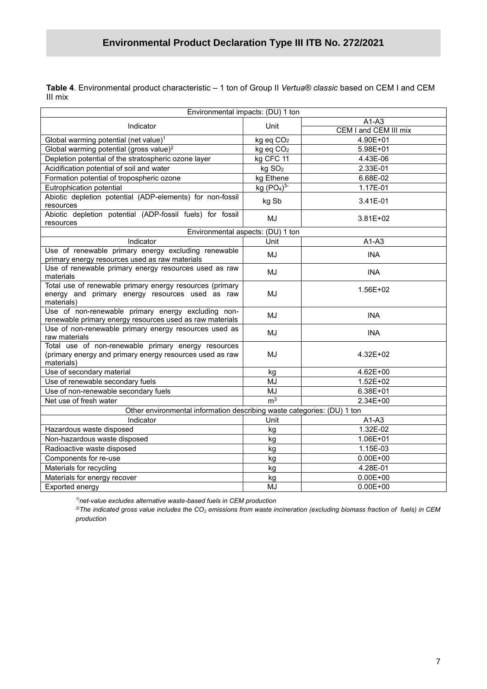**/2020 Table 4**. Environmental product characteristic – 1 ton of Group II *Vertua® classic* based on CEM I and CEM III mix

| Environmental impacts: (DU) 1 ton                                                                                             |                                    |                       |  |  |  |  |
|-------------------------------------------------------------------------------------------------------------------------------|------------------------------------|-----------------------|--|--|--|--|
| Indicator                                                                                                                     | Unit                               | $A1-A3$               |  |  |  |  |
|                                                                                                                               |                                    | CEM I and CEM III mix |  |  |  |  |
| Global warming potential (net value) <sup>1</sup>                                                                             | kg eq CO <sub>2</sub>              | 4.90E+01              |  |  |  |  |
| Global warming potential (gross value) <sup>2</sup>                                                                           | kg eq CO <sub>2</sub>              | 5.98E+01              |  |  |  |  |
| Depletion potential of the stratospheric ozone layer                                                                          | kg CFC 11                          | 4.43E-06              |  |  |  |  |
| Acidification potential of soil and water                                                                                     | kg SO <sub>2</sub>                 | 2.33E-01              |  |  |  |  |
| Formation potential of tropospheric ozone                                                                                     | kg Ethene                          | 6.68E-02              |  |  |  |  |
| Eutrophication potential                                                                                                      | kg (PO <sub>4</sub> ) <sup>3</sup> | 1.17E-01              |  |  |  |  |
| Abiotic depletion potential (ADP-elements) for non-fossil<br>resources                                                        | kg Sb                              | 3.41E-01              |  |  |  |  |
| Abiotic depletion potential (ADP-fossil fuels) for fossil<br>resources                                                        | MJ                                 | 3.81E+02              |  |  |  |  |
| Environmental aspects: (DU) 1 ton                                                                                             |                                    |                       |  |  |  |  |
| Indicator                                                                                                                     | Unit                               | $A1-A3$               |  |  |  |  |
| Use of renewable primary energy excluding renewable<br>primary energy resources used as raw materials                         | MJ                                 | <b>INA</b>            |  |  |  |  |
| Use of renewable primary energy resources used as raw<br>materials                                                            | MJ                                 | <b>INA</b>            |  |  |  |  |
| Total use of renewable primary energy resources (primary<br>energy and primary energy resources used as raw<br>materials)     | MJ                                 | 1.56E+02              |  |  |  |  |
| Use of non-renewable primary energy excluding non-<br>renewable primary energy resources used as raw materials                | MJ                                 | <b>INA</b>            |  |  |  |  |
| Use of non-renewable primary energy resources used as<br>raw materials                                                        | MJ                                 | <b>INA</b>            |  |  |  |  |
| Total use of non-renewable primary energy resources<br>(primary energy and primary energy resources used as raw<br>materials) | MJ                                 | 4.32E+02              |  |  |  |  |
| Use of secondary material                                                                                                     | kg                                 | 4.62E+00              |  |  |  |  |
| Use of renewable secondary fuels                                                                                              | MJ                                 | $1.52E + 02$          |  |  |  |  |
| Use of non-renewable secondary fuels                                                                                          | <b>MJ</b>                          | 6.38E+01              |  |  |  |  |
| Net use of fresh water                                                                                                        | m <sup>3</sup>                     | 2.34E+00              |  |  |  |  |
| Other environmental information describing waste categories: (DU) 1 ton                                                       |                                    |                       |  |  |  |  |
| Indicator                                                                                                                     | Unit                               | $A1-A3$               |  |  |  |  |
| Hazardous waste disposed                                                                                                      | kg                                 | 1.32E-02              |  |  |  |  |
| Non-hazardous waste disposed                                                                                                  | kg                                 | 1.06E+01              |  |  |  |  |
| Radioactive waste disposed                                                                                                    | kg                                 | 1.15E-03              |  |  |  |  |
| Components for re-use                                                                                                         | kg                                 | $0.00E + 00$          |  |  |  |  |
| Materials for recycling                                                                                                       | kg                                 | 4.28E-01              |  |  |  |  |
| Materials for energy recover                                                                                                  | kg                                 | $0.00E + 00$          |  |  |  |  |
| Exported energy                                                                                                               | MJ                                 | $0.00E + 00$          |  |  |  |  |

*1)net-value excludes alternative waste-based fuels in CEM production*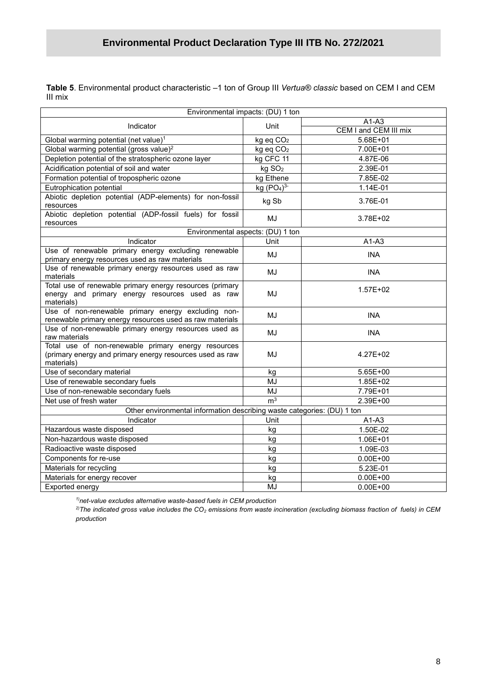**/2020 Table 5**. Environmental product characteristic –1 ton of Group III *Vertua® classic* based on CEM I and CEM III mix

| Environmental impacts: (DU) 1 ton                                                                                             |                                    |                       |  |  |  |  |
|-------------------------------------------------------------------------------------------------------------------------------|------------------------------------|-----------------------|--|--|--|--|
|                                                                                                                               |                                    | $A1-A3$               |  |  |  |  |
| Indicator                                                                                                                     | Unit                               | CEM I and CEM III mix |  |  |  |  |
| Global warming potential (net value) <sup>1</sup>                                                                             | kg eq CO <sub>2</sub>              | 5.68E+01              |  |  |  |  |
| Global warming potential (gross value) <sup>2</sup>                                                                           | kg eq CO <sub>2</sub>              | 7.00E+01              |  |  |  |  |
| Depletion potential of the stratospheric ozone layer                                                                          | kg CFC 11                          | 4.87E-06              |  |  |  |  |
| Acidification potential of soil and water                                                                                     | kg SO <sub>2</sub>                 | 2.39E-01              |  |  |  |  |
| Formation potential of tropospheric ozone                                                                                     | kg Ethene                          | 7.85E-02              |  |  |  |  |
| Eutrophication potential                                                                                                      | kg (PO <sub>4</sub> ) <sup>3</sup> | 1.14E-01              |  |  |  |  |
| Abiotic depletion potential (ADP-elements) for non-fossil<br>resources                                                        | kg Sb                              | 3.76E-01              |  |  |  |  |
| Abiotic depletion potential (ADP-fossil fuels) for fossil<br>resources                                                        | MJ                                 | 3.78E+02              |  |  |  |  |
| Environmental aspects: (DU) 1 ton                                                                                             |                                    |                       |  |  |  |  |
| Indicator                                                                                                                     | Unit                               | $A1-A3$               |  |  |  |  |
| Use of renewable primary energy excluding renewable<br>primary energy resources used as raw materials                         | MJ                                 | <b>INA</b>            |  |  |  |  |
| Use of renewable primary energy resources used as raw<br>materials                                                            | MJ                                 | <b>INA</b>            |  |  |  |  |
| Total use of renewable primary energy resources (primary<br>energy and primary energy resources used as raw<br>materials)     | MJ                                 | $1.57E + 02$          |  |  |  |  |
| Use of non-renewable primary energy excluding non-<br>renewable primary energy resources used as raw materials                | MJ                                 | <b>INA</b>            |  |  |  |  |
| Use of non-renewable primary energy resources used as<br>raw materials                                                        | MJ                                 | <b>INA</b>            |  |  |  |  |
| Total use of non-renewable primary energy resources<br>(primary energy and primary energy resources used as raw<br>materials) | MJ                                 | 4.27E+02              |  |  |  |  |
| Use of secondary material                                                                                                     | kg                                 | 5.65E+00              |  |  |  |  |
| Use of renewable secondary fuels                                                                                              | MJ                                 | 1.85E+02              |  |  |  |  |
| Use of non-renewable secondary fuels                                                                                          | <b>MJ</b>                          | 7.79E+01              |  |  |  |  |
| Net use of fresh water                                                                                                        | m <sup>3</sup>                     | 2.39E+00              |  |  |  |  |
| Other environmental information describing waste categories: (DU) 1 ton                                                       |                                    |                       |  |  |  |  |
| Indicator                                                                                                                     | Unit                               | $A1-A3$               |  |  |  |  |
| Hazardous waste disposed                                                                                                      | kg                                 | 1.50E-02              |  |  |  |  |
| Non-hazardous waste disposed                                                                                                  | kg                                 | 1.06E+01              |  |  |  |  |
| Radioactive waste disposed                                                                                                    | kg                                 | 1.09E-03              |  |  |  |  |
| Components for re-use                                                                                                         | kg                                 | $0.00E + 00$          |  |  |  |  |
| Materials for recycling                                                                                                       | kg                                 | 5.23E-01              |  |  |  |  |
| Materials for energy recover                                                                                                  | kg                                 | $0.00E + 00$          |  |  |  |  |
| Exported energy                                                                                                               | <b>MJ</b>                          | $0.00E + 00$          |  |  |  |  |

*1)net-value excludes alternative waste-based fuels in CEM production*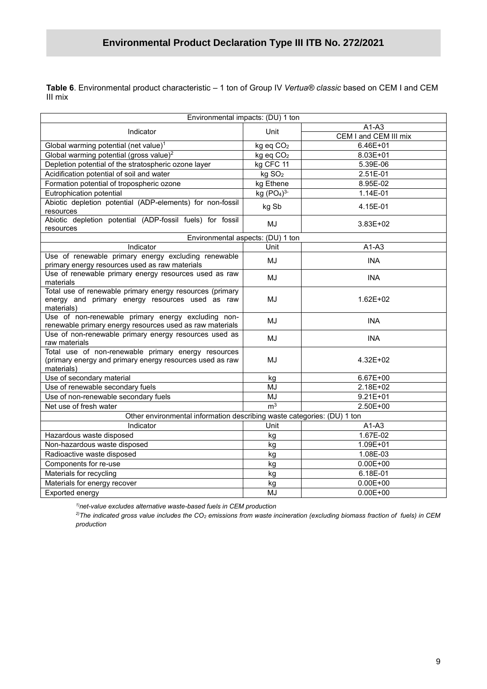**/2020 Table 6**. Environmental product characteristic – 1 ton of Group IV *Vertua® classic* based on CEM I and CEM III mix

| Environmental impacts: (DU) 1 ton                                                                                             |                       |                       |  |  |  |
|-------------------------------------------------------------------------------------------------------------------------------|-----------------------|-----------------------|--|--|--|
| Indicator                                                                                                                     | Unit                  | $A1-A3$               |  |  |  |
|                                                                                                                               |                       | CEM I and CEM III mix |  |  |  |
| Global warming potential (net value) <sup>1</sup>                                                                             | kg eq CO <sub>2</sub> | $6.46E + 01$          |  |  |  |
| Global warming potential (gross value) <sup>2</sup>                                                                           | kg eq CO <sub>2</sub> | 8.03E+01              |  |  |  |
| Depletion potential of the stratospheric ozone layer                                                                          | kg CFC 11             | 5.39E-06              |  |  |  |
| Acidification potential of soil and water                                                                                     | kg SO <sub>2</sub>    | 2.51E-01              |  |  |  |
| Formation potential of tropospheric ozone                                                                                     | kg Ethene             | 8.95E-02              |  |  |  |
| Eutrophication potential                                                                                                      | kg $(PO4)3$           | 1.14E-01              |  |  |  |
| Abiotic depletion potential (ADP-elements) for non-fossil<br>resources                                                        | kg Sb                 | 4.15E-01              |  |  |  |
| Abiotic depletion potential (ADP-fossil fuels) for fossil<br>resources                                                        | MJ                    | 3.83E+02              |  |  |  |
| Environmental aspects: (DU) 1 ton                                                                                             |                       |                       |  |  |  |
| Indicator                                                                                                                     | Unit                  | $A1-A3$               |  |  |  |
| Use of renewable primary energy excluding renewable<br>primary energy resources used as raw materials                         | MJ                    | <b>INA</b>            |  |  |  |
| Use of renewable primary energy resources used as raw<br>materials                                                            | MJ                    | <b>INA</b>            |  |  |  |
| Total use of renewable primary energy resources (primary<br>energy and primary energy resources used as raw<br>materials)     | MJ                    | $1.62E + 02$          |  |  |  |
| Use of non-renewable primary energy excluding non-<br>renewable primary energy resources used as raw materials                | MJ                    | <b>INA</b>            |  |  |  |
| Use of non-renewable primary energy resources used as<br>raw materials                                                        | MJ                    | <b>INA</b>            |  |  |  |
| Total use of non-renewable primary energy resources<br>(primary energy and primary energy resources used as raw<br>materials) | MJ                    | 4.32E+02              |  |  |  |
| Use of secondary material                                                                                                     | kg                    | 6.67E+00              |  |  |  |
| Use of renewable secondary fuels                                                                                              | MJ                    | 2.18E+02              |  |  |  |
| Use of non-renewable secondary fuels                                                                                          | MJ                    | $9.21E + 01$          |  |  |  |
| Net use of fresh water                                                                                                        | m <sup>3</sup>        | 2.50E+00              |  |  |  |
| Other environmental information describing waste categories: (DU) 1 ton                                                       |                       |                       |  |  |  |
| Indicator                                                                                                                     | Unit                  | $A1-A3$               |  |  |  |
| Hazardous waste disposed                                                                                                      | kg                    | 1.67E-02              |  |  |  |
| Non-hazardous waste disposed                                                                                                  | kg                    | 1.09E+01              |  |  |  |
| Radioactive waste disposed                                                                                                    | kg                    | 1.08E-03              |  |  |  |
| Components for re-use                                                                                                         | kg                    | $0.00E + 00$          |  |  |  |
| Materials for recycling                                                                                                       | kg                    | 6.18E-01              |  |  |  |
| Materials for energy recover                                                                                                  | kg                    | $0.00E + 00$          |  |  |  |
| Exported energy                                                                                                               | MJ                    | $0.00E + 00$          |  |  |  |

*1)net-value excludes alternative waste-based fuels in CEM production*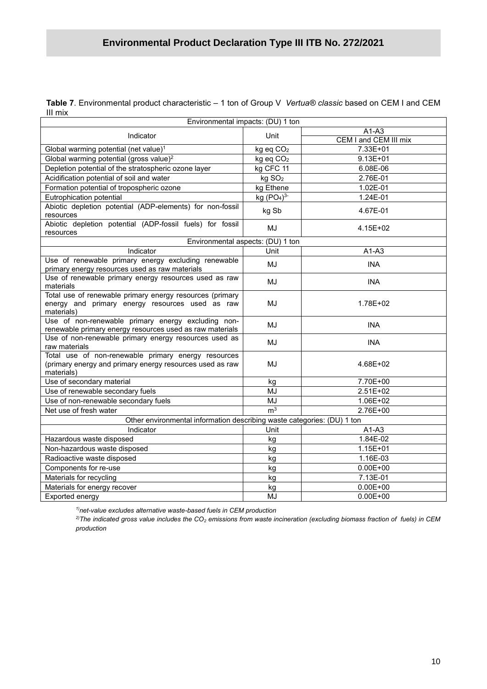**/2020 Table 7**. Environmental product characteristic – 1 ton of Group V *Vertua® classic* based on CEM I and CEM III mix

| Environmental impacts: (DU) 1 ton                                                                                             |                                   |                       |  |  |  |  |
|-------------------------------------------------------------------------------------------------------------------------------|-----------------------------------|-----------------------|--|--|--|--|
| Indicator                                                                                                                     | Unit                              | $A1-A3$               |  |  |  |  |
|                                                                                                                               |                                   | CEM I and CEM III mix |  |  |  |  |
| Global warming potential (net value) <sup>1</sup>                                                                             | kg eq CO <sub>2</sub>             | 7.33E+01              |  |  |  |  |
| Global warming potential (gross value) <sup>2</sup>                                                                           | kg eq CO <sub>2</sub>             | $9.13E + 01$          |  |  |  |  |
| Depletion potential of the stratospheric ozone layer                                                                          | kg CFC 11                         | 6.08E-06              |  |  |  |  |
| Acidification potential of soil and water                                                                                     | kg SO <sub>2</sub>                | 2.76E-01              |  |  |  |  |
| Formation potential of tropospheric ozone                                                                                     | kg Ethene                         | 1.02E-01              |  |  |  |  |
| Eutrophication potential                                                                                                      | kg $(PO4)3$                       | 1.24E-01              |  |  |  |  |
| Abiotic depletion potential (ADP-elements) for non-fossil<br>resources                                                        | kg Sb                             | 4.67E-01              |  |  |  |  |
| Abiotic depletion potential (ADP-fossil fuels) for fossil<br>resources                                                        | MJ                                | 4.15E+02              |  |  |  |  |
|                                                                                                                               | Environmental aspects: (DU) 1 ton |                       |  |  |  |  |
| Indicator                                                                                                                     | Unit                              | $A1-A3$               |  |  |  |  |
| Use of renewable primary energy excluding renewable<br>primary energy resources used as raw materials                         | MJ                                | <b>INA</b>            |  |  |  |  |
| Use of renewable primary energy resources used as raw<br>materials                                                            | MJ                                | <b>INA</b>            |  |  |  |  |
| Total use of renewable primary energy resources (primary<br>energy and primary energy resources used as raw<br>materials)     | MJ                                | 1.78E+02              |  |  |  |  |
| Use of non-renewable primary energy excluding non-<br>renewable primary energy resources used as raw materials                | MJ                                | <b>INA</b>            |  |  |  |  |
| Use of non-renewable primary energy resources used as<br>raw materials                                                        | MJ                                | <b>INA</b>            |  |  |  |  |
| Total use of non-renewable primary energy resources<br>(primary energy and primary energy resources used as raw<br>materials) | MJ                                | 4.68E+02              |  |  |  |  |
| Use of secondary material                                                                                                     | kg                                | 7.70E+00              |  |  |  |  |
| Use of renewable secondary fuels                                                                                              | MJ                                | 2.51E+02              |  |  |  |  |
| Use of non-renewable secondary fuels                                                                                          | MJ                                | 1.06E+02              |  |  |  |  |
| Net use of fresh water                                                                                                        | m <sup>3</sup>                    | 2.76E+00              |  |  |  |  |
| Other environmental information describing waste categories: (DU) 1 ton                                                       |                                   |                       |  |  |  |  |
| Indicator                                                                                                                     | Unit                              | $A1-A3$               |  |  |  |  |
| Hazardous waste disposed                                                                                                      | kg                                | 1.84E-02              |  |  |  |  |
| Non-hazardous waste disposed                                                                                                  | kg                                | $1.15E + 01$          |  |  |  |  |
| Radioactive waste disposed                                                                                                    | kg                                | 1.16E-03              |  |  |  |  |
| Components for re-use                                                                                                         | kg                                | $0.00E + 00$          |  |  |  |  |
| Materials for recycling                                                                                                       | kg                                | $7.13E-01$            |  |  |  |  |
| Materials for energy recover                                                                                                  | kg                                | $0.00E + 00$          |  |  |  |  |
| Exported energy                                                                                                               | MJ                                | $0.00E + 00$          |  |  |  |  |

*1)net-value excludes alternative waste-based fuels in CEM production*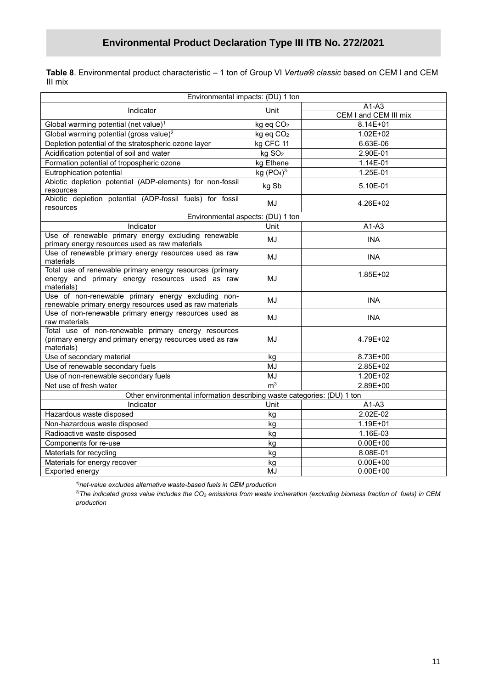**Table 8**. Environmental product characteristic – 1 ton of Group VI *Vertua® classic* based on CEM I and CEM III mix

| Environmental impacts: (DU) 1 ton                                                                                             |                       |                       |  |  |  |
|-------------------------------------------------------------------------------------------------------------------------------|-----------------------|-----------------------|--|--|--|
|                                                                                                                               |                       | $A1-A3$               |  |  |  |
| Indicator                                                                                                                     | Unit                  | CEM I and CEM III mix |  |  |  |
| Global warming potential (net value) <sup>1</sup>                                                                             | kg eq CO <sub>2</sub> | 8.14E+01              |  |  |  |
| Global warming potential (gross value) <sup>2</sup>                                                                           | kg eq CO <sub>2</sub> | $1.02E + 02$          |  |  |  |
| Depletion potential of the stratospheric ozone layer                                                                          | kg CFC 11             | 6.63E-06              |  |  |  |
| Acidification potential of soil and water                                                                                     | kg SO <sub>2</sub>    | 2.90E-01              |  |  |  |
| Formation potential of tropospheric ozone                                                                                     | kg Ethene             | 1.14E-01              |  |  |  |
| Eutrophication potential                                                                                                      | kg $(PO4)3$           | 1.25E-01              |  |  |  |
| Abiotic depletion potential (ADP-elements) for non-fossil<br>resources                                                        | kg Sb                 | 5.10E-01              |  |  |  |
| Abiotic depletion potential (ADP-fossil fuels) for fossil<br>resources                                                        | MJ                    | 4.26E+02              |  |  |  |
| Environmental aspects: (DU) 1 ton                                                                                             |                       |                       |  |  |  |
| Indicator                                                                                                                     | Unit                  | $A1-A3$               |  |  |  |
| Use of renewable primary energy excluding renewable                                                                           |                       |                       |  |  |  |
| primary energy resources used as raw materials                                                                                | MJ                    | <b>INA</b>            |  |  |  |
| Use of renewable primary energy resources used as raw<br>materials                                                            | MJ                    | <b>INA</b>            |  |  |  |
| Total use of renewable primary energy resources (primary<br>energy and primary energy resources used as raw<br>materials)     | MJ                    | 1.85E+02              |  |  |  |
| Use of non-renewable primary energy excluding non-<br>renewable primary energy resources used as raw materials                | MJ                    | <b>INA</b>            |  |  |  |
| Use of non-renewable primary energy resources used as<br>raw materials                                                        | MJ                    | <b>INA</b>            |  |  |  |
| Total use of non-renewable primary energy resources<br>(primary energy and primary energy resources used as raw<br>materials) | MJ                    | 4.79E+02              |  |  |  |
| Use of secondary material                                                                                                     | kg                    | 8.73E+00              |  |  |  |
| Use of renewable secondary fuels                                                                                              | MJ                    | 2.85E+02              |  |  |  |
| Use of non-renewable secondary fuels                                                                                          | MJ                    | 1.20E+02              |  |  |  |
| Net use of fresh water                                                                                                        | m <sup>3</sup>        | 2.89E+00              |  |  |  |
| Other environmental information describing waste categories: (DU) 1 ton                                                       |                       |                       |  |  |  |
| Indicator                                                                                                                     | Unit                  | $A1-A3$               |  |  |  |
| Hazardous waste disposed                                                                                                      | kg                    | 2.02E-02              |  |  |  |
| Non-hazardous waste disposed                                                                                                  | kg                    | 1.19E+01              |  |  |  |
| Radioactive waste disposed                                                                                                    | kg                    | 1.16E-03              |  |  |  |
| Components for re-use                                                                                                         | kg                    | $0.00E + 00$          |  |  |  |
| Materials for recycling                                                                                                       | kg                    | 8.08E-01              |  |  |  |
| Materials for energy recover                                                                                                  | kg                    | $0.00E + 00$          |  |  |  |
| Exported energy                                                                                                               | MJ                    | $0.00E + 00$          |  |  |  |

*1)net-value excludes alternative waste-based fuels in CEM production*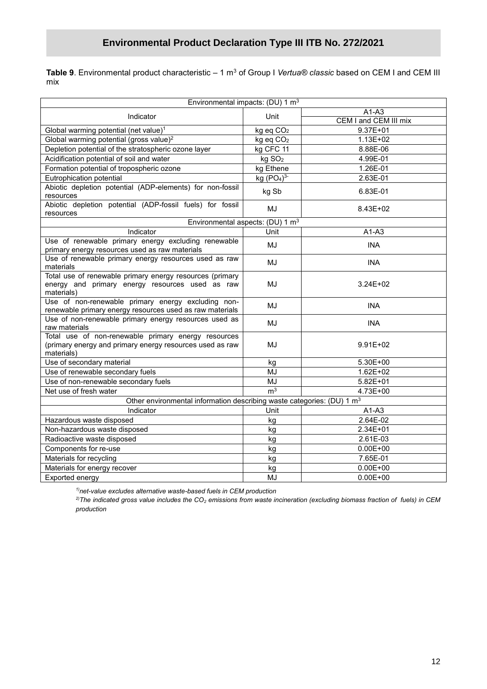**Table 9**. Environmental product characteristic – 1 m<sup>3</sup> of Group I *Vertua® classic* based on CEM I and CEM III mix

| Environmental impacts: (DU) 1 m <sup>3</sup>                                                                                  |                       |                                  |  |  |  |
|-------------------------------------------------------------------------------------------------------------------------------|-----------------------|----------------------------------|--|--|--|
|                                                                                                                               |                       |                                  |  |  |  |
| Indicator                                                                                                                     | Unit                  | $A1-A3$<br>CEM I and CEM III mix |  |  |  |
| Global warming potential (net value) <sup>1</sup>                                                                             | kg eq CO <sub>2</sub> | $9.37E + 01$                     |  |  |  |
| Global warming potential (gross value) <sup>2</sup>                                                                           | kg eq CO <sub>2</sub> | $1.13E + 02$                     |  |  |  |
| Depletion potential of the stratospheric ozone layer                                                                          | kg CFC 11             | 8.88E-06                         |  |  |  |
| Acidification potential of soil and water                                                                                     | kg SO <sub>2</sub>    | 4.99E-01                         |  |  |  |
| Formation potential of tropospheric ozone                                                                                     | kg Ethene             | 1.26E-01                         |  |  |  |
| Eutrophication potential                                                                                                      | kg $(PO4)3$           | 2.63E-01                         |  |  |  |
| Abiotic depletion potential (ADP-elements) for non-fossil<br>resources                                                        | kg Sb                 | 6.83E-01                         |  |  |  |
| Abiotic depletion potential (ADP-fossil fuels) for fossil<br>resources                                                        | MJ                    | 8.43E+02                         |  |  |  |
| Environmental aspects: (DU) 1 m <sup>3</sup>                                                                                  |                       |                                  |  |  |  |
| Indicator                                                                                                                     | Unit                  | $A1-A3$                          |  |  |  |
| Use of renewable primary energy excluding renewable<br>primary energy resources used as raw materials                         | MJ                    | <b>INA</b>                       |  |  |  |
| Use of renewable primary energy resources used as raw<br>materials                                                            | MJ                    | <b>INA</b>                       |  |  |  |
| Total use of renewable primary energy resources (primary<br>energy and primary energy resources used as raw<br>materials)     | MJ                    | $3.24E + 02$                     |  |  |  |
| Use of non-renewable primary energy excluding non-<br>renewable primary energy resources used as raw materials                | MJ                    | <b>INA</b>                       |  |  |  |
| Use of non-renewable primary energy resources used as<br>raw materials                                                        | MJ                    | <b>INA</b>                       |  |  |  |
| Total use of non-renewable primary energy resources<br>(primary energy and primary energy resources used as raw<br>materials) | MJ                    | $9.91E + 02$                     |  |  |  |
| Use of secondary material                                                                                                     | kg                    | 5.30E+00                         |  |  |  |
| Use of renewable secondary fuels                                                                                              | MJ                    | $1.62E + 02$                     |  |  |  |
| Use of non-renewable secondary fuels                                                                                          | MJ                    | $5.82E + 01$                     |  |  |  |
| Net use of fresh water                                                                                                        | m <sup>3</sup>        | 4.73E+00                         |  |  |  |
| Other environmental information describing waste categories: (DU) 1 m <sup>3</sup>                                            |                       |                                  |  |  |  |
| Indicator                                                                                                                     | Unit                  | $A1-A3$                          |  |  |  |
| Hazardous waste disposed                                                                                                      | kg                    | 2.64E-02                         |  |  |  |
| Non-hazardous waste disposed                                                                                                  | kg                    | 2.34E+01                         |  |  |  |
| Radioactive waste disposed                                                                                                    | kg                    | 2.61E-03                         |  |  |  |
| Components for re-use                                                                                                         | kg                    | $0.00E + 00$                     |  |  |  |
| Materials for recycling                                                                                                       | kg                    | 7.65E-01                         |  |  |  |
| Materials for energy recover                                                                                                  | kg                    | $0.00E + 00$                     |  |  |  |
| Exported energy                                                                                                               | MJ                    | $0.00E + 00$                     |  |  |  |

*1)net-value excludes alternative waste-based fuels in CEM production*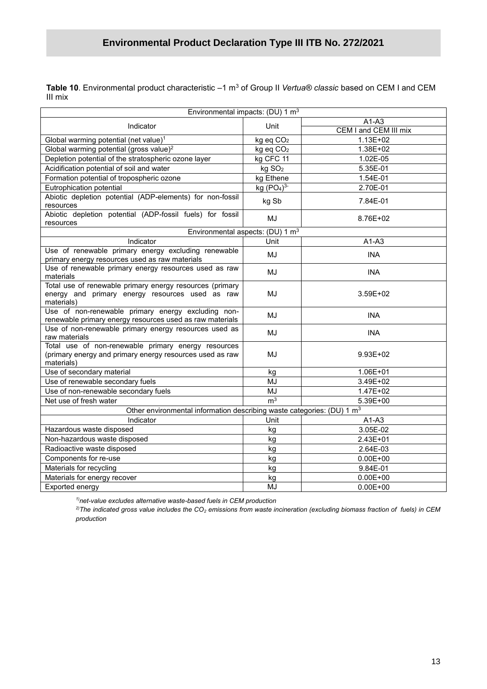**/2020 Table 10**. Environmental product characteristic –1 m<sup>3</sup> of Group II *Vertua® classic* based on CEM I and CEM III mix

| Environmental impacts: (DU) 1 m <sup>3</sup>                                                                                  |                       |                       |  |  |  |  |
|-------------------------------------------------------------------------------------------------------------------------------|-----------------------|-----------------------|--|--|--|--|
|                                                                                                                               |                       | $A1-A3$               |  |  |  |  |
| Indicator                                                                                                                     | Unit                  | CEM I and CEM III mix |  |  |  |  |
| Global warming potential (net value) <sup>1</sup>                                                                             | kg eq CO <sub>2</sub> | $1.13E + 02$          |  |  |  |  |
| Global warming potential (gross value) <sup>2</sup>                                                                           | kg eq CO <sub>2</sub> | 1.38E+02              |  |  |  |  |
| Depletion potential of the stratospheric ozone layer                                                                          | kg CFC 11             | 1.02E-05              |  |  |  |  |
| Acidification potential of soil and water                                                                                     | kg SO <sub>2</sub>    | 5.35E-01              |  |  |  |  |
| Formation potential of tropospheric ozone                                                                                     | kg Ethene             | 1.54E-01              |  |  |  |  |
| Eutrophication potential                                                                                                      | kg $(PO4)3$           | 2.70E-01              |  |  |  |  |
| Abiotic depletion potential (ADP-elements) for non-fossil<br>resources                                                        | kg Sb                 | 7.84E-01              |  |  |  |  |
| Abiotic depletion potential (ADP-fossil fuels) for fossil<br>resources                                                        | MJ                    | 8.76E+02              |  |  |  |  |
| Environmental aspects: (DU) 1 m <sup>3</sup>                                                                                  |                       |                       |  |  |  |  |
| Indicator                                                                                                                     | Unit                  | $A1-A3$               |  |  |  |  |
| Use of renewable primary energy excluding renewable<br>primary energy resources used as raw materials                         | MJ                    | <b>INA</b>            |  |  |  |  |
| Use of renewable primary energy resources used as raw<br>materials                                                            | MJ                    | <b>INA</b>            |  |  |  |  |
| Total use of renewable primary energy resources (primary<br>energy and primary energy resources used as raw<br>materials)     | MJ                    | 3.59E+02              |  |  |  |  |
| Use of non-renewable primary energy excluding non-<br>renewable primary energy resources used as raw materials                | MJ                    | <b>INA</b>            |  |  |  |  |
| Use of non-renewable primary energy resources used as<br>raw materials                                                        | MJ                    | <b>INA</b>            |  |  |  |  |
| Total use of non-renewable primary energy resources<br>(primary energy and primary energy resources used as raw<br>materials) | MJ                    | 9.93E+02              |  |  |  |  |
| Use of secondary material                                                                                                     | kg                    | 1.06E+01              |  |  |  |  |
| Use of renewable secondary fuels                                                                                              | MJ                    | 3.49E+02              |  |  |  |  |
| Use of non-renewable secondary fuels                                                                                          | <b>MJ</b>             | 1.47E+02              |  |  |  |  |
| Net use of fresh water                                                                                                        | m <sup>3</sup>        | 5.39E+00              |  |  |  |  |
| Other environmental information describing waste categories: (DU) 1 m <sup>3</sup>                                            |                       |                       |  |  |  |  |
| Indicator                                                                                                                     | Unit                  | $A1-A3$               |  |  |  |  |
| Hazardous waste disposed                                                                                                      | kg                    | 3.05E-02              |  |  |  |  |
| Non-hazardous waste disposed                                                                                                  | kg                    | 2.43E+01              |  |  |  |  |
| Radioactive waste disposed                                                                                                    | kg                    | 2.64E-03              |  |  |  |  |
| Components for re-use                                                                                                         | kg                    | $0.00E + 00$          |  |  |  |  |
| Materials for recycling                                                                                                       | kg                    | 9.84E-01              |  |  |  |  |
| Materials for energy recover                                                                                                  | kg                    | $0.00E + 00$          |  |  |  |  |
| Exported energy                                                                                                               | MJ                    | $0.00E + 00$          |  |  |  |  |

*1)net-value excludes alternative waste-based fuels in CEM production*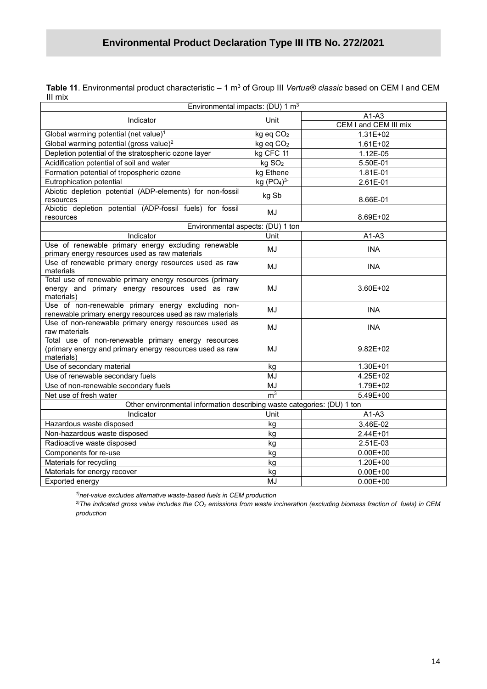**Table 11**. Environmental product characteristic – 1 m<sup>3</sup> of Group III *Vertua® classic* based on CEM I and CEM III mix

| Environmental impacts: (DU) 1 m <sup>3</sup>                                                                                  |                       |                       |  |  |  |
|-------------------------------------------------------------------------------------------------------------------------------|-----------------------|-----------------------|--|--|--|
|                                                                                                                               |                       | $A1-A3$               |  |  |  |
| Indicator                                                                                                                     | Unit                  | CEM I and CEM III mix |  |  |  |
| Global warming potential (net value) <sup>1</sup>                                                                             | kg eq CO <sub>2</sub> | $1.31E + 02$          |  |  |  |
| Global warming potential (gross value) <sup>2</sup>                                                                           | kg eq CO <sub>2</sub> | $1.61E + 02$          |  |  |  |
| Depletion potential of the stratospheric ozone layer                                                                          | kg CFC 11             | 1.12E-05              |  |  |  |
| Acidification potential of soil and water                                                                                     | kg SO <sub>2</sub>    | 5.50E-01              |  |  |  |
| Formation potential of tropospheric ozone                                                                                     | kg Ethene             | 1.81E-01              |  |  |  |
| Eutrophication potential                                                                                                      | kg $(PO4)3$           | 2.61E-01              |  |  |  |
| Abiotic depletion potential (ADP-elements) for non-fossil<br>resources                                                        | kg Sb                 | 8.66E-01              |  |  |  |
| Abiotic depletion potential (ADP-fossil fuels) for fossil                                                                     |                       |                       |  |  |  |
| resources                                                                                                                     | MJ                    | 8.69E+02              |  |  |  |
| Environmental aspects: (DU) 1 ton                                                                                             |                       |                       |  |  |  |
| Indicator                                                                                                                     | Unit                  | $A1-A3$               |  |  |  |
| Use of renewable primary energy excluding renewable<br>primary energy resources used as raw materials                         | MJ                    | <b>INA</b>            |  |  |  |
| Use of renewable primary energy resources used as raw<br>materials                                                            | MJ                    | <b>INA</b>            |  |  |  |
| Total use of renewable primary energy resources (primary<br>energy and primary energy resources used as raw<br>materials)     | MJ                    | 3.60E+02              |  |  |  |
| Use of non-renewable primary energy excluding non-<br>renewable primary energy resources used as raw materials                | MJ                    | <b>INA</b>            |  |  |  |
| Use of non-renewable primary energy resources used as<br>raw materials                                                        | MJ                    | <b>INA</b>            |  |  |  |
| Total use of non-renewable primary energy resources<br>(primary energy and primary energy resources used as raw<br>materials) | MJ                    | $9.82E + 02$          |  |  |  |
| Use of secondary material                                                                                                     | kg                    | 1.30E+01              |  |  |  |
| Use of renewable secondary fuels                                                                                              | MJ                    | 4.25E+02              |  |  |  |
| Use of non-renewable secondary fuels                                                                                          | MJ                    | 1.79E+02              |  |  |  |
| Net use of fresh water                                                                                                        | m <sup>3</sup>        | 5.49E+00              |  |  |  |
| Other environmental information describing waste categories: (DU) 1 ton                                                       |                       |                       |  |  |  |
| Indicator                                                                                                                     | Unit                  | $A1-A3$               |  |  |  |
| Hazardous waste disposed                                                                                                      | kg                    | 3.46E-02              |  |  |  |
| Non-hazardous waste disposed                                                                                                  | kg                    | 2.44E+01              |  |  |  |
| Radioactive waste disposed                                                                                                    | kg                    | 2.51E-03              |  |  |  |
| Components for re-use                                                                                                         | kg                    | $0.00E + 00$          |  |  |  |
| Materials for recycling                                                                                                       | kg                    | 1.20E+00              |  |  |  |
| Materials for energy recover                                                                                                  | kg                    | $0.00E + 00$          |  |  |  |
| Exported energy                                                                                                               | MJ                    | $0.00E + 00$          |  |  |  |

*1)net-value excludes alternative waste-based fuels in CEM production*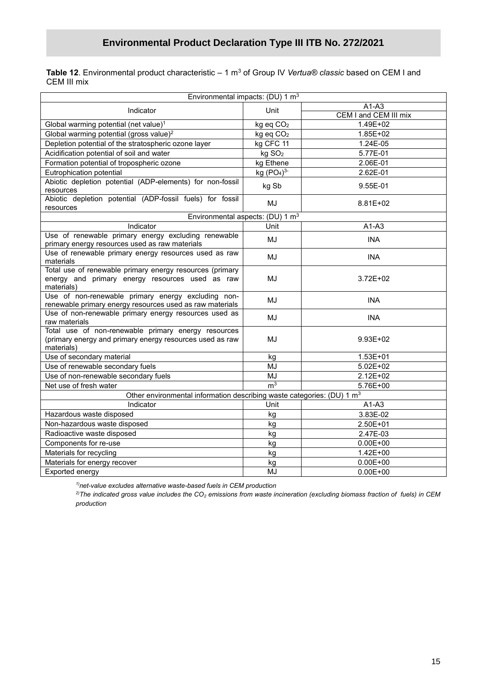Table 12. Environmental product characteristic – 1 m<sup>3</sup> of Group IV Vertua® classic based on CEM I and CEM III mix

| Environmental impacts: (DU) 1 m <sup>3</sup>                                                                                  |                                    |                       |
|-------------------------------------------------------------------------------------------------------------------------------|------------------------------------|-----------------------|
| Indicator                                                                                                                     |                                    | $A1-A3$               |
|                                                                                                                               | Unit                               | CEM I and CEM III mix |
| Global warming potential (net value) <sup>1</sup>                                                                             | kg eq CO <sub>2</sub>              | 1.49E+02              |
| Global warming potential (gross value) <sup>2</sup>                                                                           | kg eq CO <sub>2</sub>              | $1.85E + 02$          |
| Depletion potential of the stratospheric ozone layer                                                                          | kg CFC 11                          | 1.24E-05              |
| Acidification potential of soil and water                                                                                     | kg SO <sub>2</sub>                 | 5.77E-01              |
| Formation potential of tropospheric ozone                                                                                     | kg Ethene                          | 2.06E-01              |
| Eutrophication potential                                                                                                      | kg (PO <sub>4</sub> ) <sup>3</sup> | 2.62E-01              |
| Abiotic depletion potential (ADP-elements) for non-fossil<br>resources                                                        | kg Sb                              | 9.55E-01              |
| Abiotic depletion potential (ADP-fossil fuels) for fossil<br>resources                                                        | MJ                                 | 8.81E+02              |
| Environmental aspects: (DU) 1 m <sup>3</sup>                                                                                  |                                    |                       |
| Indicator                                                                                                                     | Unit                               | $A1-A3$               |
| Use of renewable primary energy excluding renewable<br>primary energy resources used as raw materials                         | MJ                                 | <b>INA</b>            |
| Use of renewable primary energy resources used as raw<br>materials                                                            | MJ                                 | <b>INA</b>            |
| Total use of renewable primary energy resources (primary<br>energy and primary energy resources used as raw<br>materials)     | MJ                                 | 3.72E+02              |
| Use of non-renewable primary energy excluding non-<br>renewable primary energy resources used as raw materials                | MJ                                 | <b>INA</b>            |
| Use of non-renewable primary energy resources used as<br>raw materials                                                        | MJ                                 | <b>INA</b>            |
| Total use of non-renewable primary energy resources<br>(primary energy and primary energy resources used as raw<br>materials) | MJ                                 | $9.93E + 02$          |
| Use of secondary material                                                                                                     | kg                                 | 1.53E+01              |
| Use of renewable secondary fuels                                                                                              | MJ                                 | $5.02E + 02$          |
| Use of non-renewable secondary fuels                                                                                          | MJ                                 | $2.12E + 02$          |
| Net use of fresh water                                                                                                        | m <sup>3</sup>                     | 5.76E+00              |
| Other environmental information describing waste categories: (DU) 1 m <sup>3</sup>                                            |                                    |                       |
| Indicator                                                                                                                     | Unit                               | $A1-A3$               |
| Hazardous waste disposed                                                                                                      | kg                                 | 3.83E-02              |
| Non-hazardous waste disposed                                                                                                  | kg                                 | 2.50E+01              |
| Radioactive waste disposed                                                                                                    | kg                                 | 2.47E-03              |
| Components for re-use                                                                                                         | kg                                 | $0.00E + 00$          |
| Materials for recycling                                                                                                       | kg                                 | $1.42E + 00$          |
| Materials for energy recover                                                                                                  | kg                                 | $0.00E + 00$          |
| Exported energy                                                                                                               | MJ                                 | $0.00E + 00$          |

*1)net-value excludes alternative waste-based fuels in CEM production*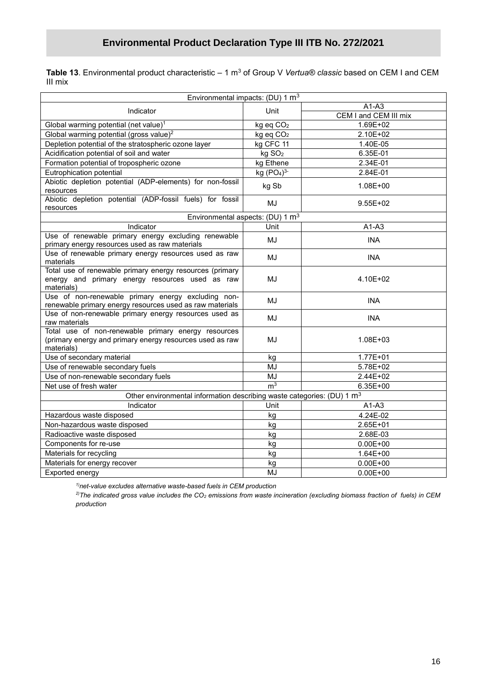**Table 13**. Environmental product characteristic – 1 m<sup>3</sup> of Group V *Vertua® classic* based on CEM I and CEM III mix

| Environmental impacts: (DU) 1 m <sup>3</sup>                                                                                  |                       |                       |
|-------------------------------------------------------------------------------------------------------------------------------|-----------------------|-----------------------|
| Indicator                                                                                                                     |                       | $A1-A3$               |
|                                                                                                                               | Unit                  | CEM I and CEM III mix |
| Global warming potential (net value) <sup>1</sup>                                                                             | kg eq CO <sub>2</sub> | 1.69E+02              |
| Global warming potential (gross value) <sup>2</sup>                                                                           | kg eq CO <sub>2</sub> | 2.10E+02              |
| Depletion potential of the stratospheric ozone layer                                                                          | kg CFC 11             | 1.40E-05              |
| Acidification potential of soil and water                                                                                     | kg SO <sub>2</sub>    | 6.35E-01              |
| Formation potential of tropospheric ozone                                                                                     | kg Ethene             | 2.34E-01              |
| Eutrophication potential                                                                                                      | kg $(PO4)3$           | 2.84E-01              |
| Abiotic depletion potential (ADP-elements) for non-fossil<br>resources                                                        | kg Sb                 | 1.08E+00              |
| Abiotic depletion potential (ADP-fossil fuels) for fossil<br>resources                                                        | MJ                    | $9.55E + 02$          |
| Environmental aspects: (DU) 1 m <sup>3</sup>                                                                                  |                       |                       |
| Indicator                                                                                                                     | Unit                  | $A1-A3$               |
| Use of renewable primary energy excluding renewable<br>primary energy resources used as raw materials                         | MJ                    | <b>INA</b>            |
| Use of renewable primary energy resources used as raw<br>materials                                                            | MJ                    | <b>INA</b>            |
| Total use of renewable primary energy resources (primary<br>energy and primary energy resources used as raw<br>materials)     | MJ                    | 4.10E+02              |
| Use of non-renewable primary energy excluding non-<br>renewable primary energy resources used as raw materials                | MJ                    | <b>INA</b>            |
| Use of non-renewable primary energy resources used as<br>raw materials                                                        | MJ                    | <b>INA</b>            |
| Total use of non-renewable primary energy resources<br>(primary energy and primary energy resources used as raw<br>materials) | MJ                    | 1.08E+03              |
| Use of secondary material                                                                                                     | kg                    | $1.77E + 01$          |
| Use of renewable secondary fuels                                                                                              | MJ                    | 5.78E+02              |
| Use of non-renewable secondary fuels                                                                                          | MJ                    | 2.44E+02              |
| Net use of fresh water                                                                                                        | m <sup>3</sup>        | 6.35E+00              |
| Other environmental information describing waste categories: (DU) 1 m <sup>3</sup>                                            |                       |                       |
| Indicator                                                                                                                     | Unit                  | $A1-A3$               |
| Hazardous waste disposed                                                                                                      | kq                    | 4.24E-02              |
| Non-hazardous waste disposed                                                                                                  | kg                    | 2.65E+01              |
| Radioactive waste disposed                                                                                                    | kg                    | 2.68E-03              |
| Components for re-use                                                                                                         | kg                    | $0.00E + 00$          |
| Materials for recycling                                                                                                       | kg                    | $1.64E + 00$          |
| Materials for energy recover                                                                                                  | kg                    | $0.00E + 00$          |
| Exported energy                                                                                                               | MJ                    | $0.00E + 00$          |

*1)net-value excludes alternative waste-based fuels in CEM production*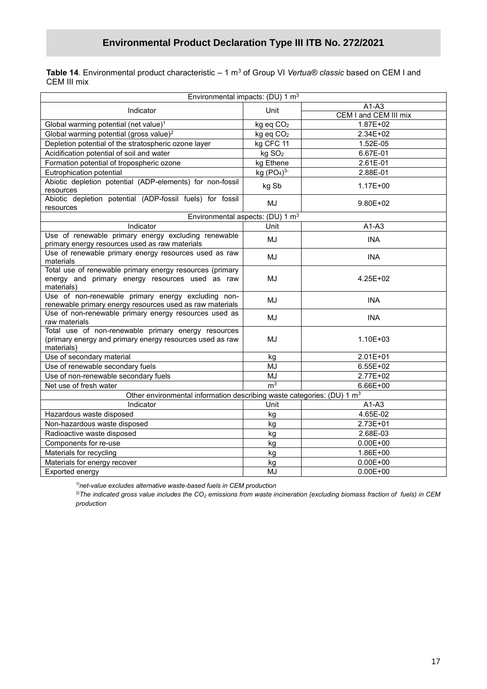Table 14. Environmental product characteristic – 1 m<sup>3</sup> of Group VI Vertua® classic based on CEM I and CEM III mix

| Environmental impacts: (DU) 1 m <sup>3</sup>                                                                                  |                       |                       |
|-------------------------------------------------------------------------------------------------------------------------------|-----------------------|-----------------------|
| Indicator                                                                                                                     |                       | $A1-A3$               |
|                                                                                                                               | Unit                  | CEM I and CEM III mix |
| Global warming potential (net value) <sup>1</sup>                                                                             | kg eq CO <sub>2</sub> | 1.87E+02              |
| Global warming potential (gross value) <sup>2</sup>                                                                           | kg eq CO <sub>2</sub> | 2.34E+02              |
| Depletion potential of the stratospheric ozone layer                                                                          | kg CFC 11             | 1.52E-05              |
| Acidification potential of soil and water                                                                                     | kg SO <sub>2</sub>    | 6.67E-01              |
| Formation potential of tropospheric ozone                                                                                     | kg Ethene             | 2.61E-01              |
| Eutrophication potential                                                                                                      | kg $(PO4)3$           | 2.88E-01              |
| Abiotic depletion potential (ADP-elements) for non-fossil<br>resources                                                        | kg Sb                 | $1.17E + 00$          |
| Abiotic depletion potential (ADP-fossil fuels) for fossil<br>resources                                                        | MJ                    | 9.80E+02              |
| Environmental aspects: (DU) 1 m <sup>3</sup>                                                                                  |                       |                       |
| Indicator                                                                                                                     | Unit                  | $A1-A3$               |
| Use of renewable primary energy excluding renewable<br>primary energy resources used as raw materials                         | MJ                    | <b>INA</b>            |
| Use of renewable primary energy resources used as raw<br>materials                                                            | MJ                    | <b>INA</b>            |
| Total use of renewable primary energy resources (primary<br>energy and primary energy resources used as raw<br>materials)     | MJ                    | 4.25E+02              |
| Use of non-renewable primary energy excluding non-<br>renewable primary energy resources used as raw materials                | MJ                    | <b>INA</b>            |
| Use of non-renewable primary energy resources used as<br>raw materials                                                        | MJ                    | <b>INA</b>            |
| Total use of non-renewable primary energy resources<br>(primary energy and primary energy resources used as raw<br>materials) | MJ                    | 1.10E+03              |
| Use of secondary material                                                                                                     | kg                    | 2.01E+01              |
| Use of renewable secondary fuels                                                                                              | MJ                    | $6.55E + 02$          |
| Use of non-renewable secondary fuels                                                                                          | MJ                    | 2.77E+02              |
| Net use of fresh water                                                                                                        | m <sup>3</sup>        | 6.66E+00              |
| Other environmental information describing waste categories: (DU) 1 m <sup>3</sup>                                            |                       |                       |
| Indicator                                                                                                                     | Unit                  | $A1-A3$               |
| Hazardous waste disposed                                                                                                      | kg                    | 4.65E-02              |
| Non-hazardous waste disposed                                                                                                  | kg                    | 2.73E+01              |
| Radioactive waste disposed                                                                                                    | kg                    | 2.68E-03              |
| Components for re-use                                                                                                         | kg                    | $0.00E + 00$          |
| Materials for recycling                                                                                                       | kg                    | 1.86E+00              |
| Materials for energy recover                                                                                                  | kg                    | $0.00E + 00$          |
| Exported energy                                                                                                               | MJ                    | $0.00E + 00$          |

*1)net-value excludes alternative waste-based fuels in CEM production*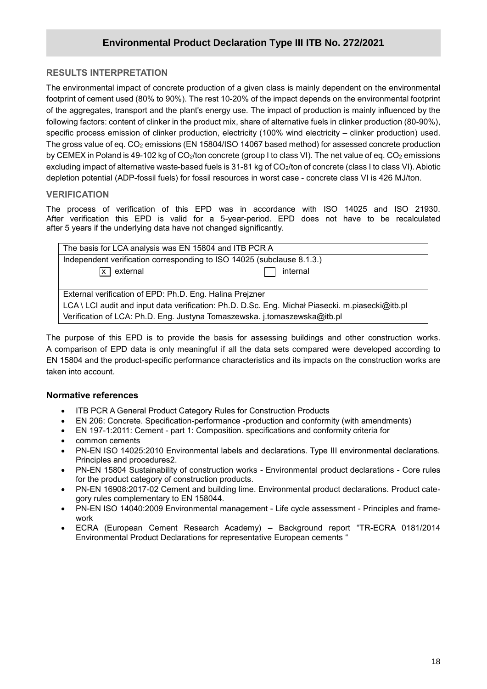#### **RESULTS INTERPRETATION**

**/2020** footprint of cement used (80% to 90%). The rest 10-20% of the impact depends on the environmental footprint The environmental impact of concrete production of a given class is mainly dependent on the environmental of the aggregates, transport and the plant's energy use. The impact of production is mainly influenced by the following factors: content of clinker in the product mix, share of alternative fuels in clinker production (80-90%), specific process emission of clinker production, electricity (100% wind electricity – clinker production) used. The gross value of eq. CO<sub>2</sub> emissions (EN 15804/ISO 14067 based method) for assessed concrete production by CEMEX in Poland is 49-102 kg of CO<sub>2</sub>/ton concrete (group I to class VI). The net value of eq. CO<sub>2</sub> emissions excluding impact of alternative waste-based fuels is 31-81 kg of CO<sub>2</sub>/ton of concrete (class I to class VI). Abiotic depletion potential (ADP-fossil fuels) for fossil resources in worst case - concrete class VI is 426 MJ/ton.

#### **VERIFICATION**

The process of verification of this EPD was in accordance with ISO 14025 and ISO 21930. After verification this EPD is valid for a 5-year-period. EPD does not have to be recalculated after 5 years if the underlying data have not changed significantly.

| The basis for LCA analysis was EN 15804 and ITB PCR A                                            |  |  |  |
|--------------------------------------------------------------------------------------------------|--|--|--|
| Independent verification corresponding to ISO 14025 (subclause 8.1.3.)                           |  |  |  |
| $\sqrt{x}$ external<br>internal                                                                  |  |  |  |
|                                                                                                  |  |  |  |
| External verification of EPD: Ph.D. Eng. Halina Prejzner                                         |  |  |  |
| LCA \ LCI audit and input data verification: Ph.D. D.Sc. Eng. Michał Piasecki. m.piasecki@itb.pl |  |  |  |
| Verification of LCA: Ph.D. Eng. Justyna Tomaszewska. j.tomaszewska@itb.pl                        |  |  |  |

The purpose of this EPD is to provide the basis for assessing buildings and other construction works. A comparison of EPD data is only meaningful if all the data sets compared were developed according to EN 15804 and the product-specific performance characteristics and its impacts on the construction works are taken into account.

#### **Normative references**

- ITB PCR A General Product Category Rules for Construction Products
- EN 206: Concrete. Specification-performance -production and conformity (with amendments)
- EN 197-1:2011: Cement part 1: Composition. specifications and conformity criteria for
- common cements
- PN-EN ISO 14025:2010 Environmental labels and declarations. Type III environmental declarations. Principles and procedures2.
- PN-EN 15804 Sustainability of construction works Environmental product declarations Core rules for the product category of construction products.
- PN-EN 16908:2017-02 Cement and building lime. Environmental product declarations. Product category rules complementary to EN 158044.
- PN-EN ISO 14040:2009 Environmental management Life cycle assessment Principles and framework
- ECRA (European Cement Research Academy) Background report "TR-ECRA 0181/2014 Environmental Product Declarations for representative European cements "